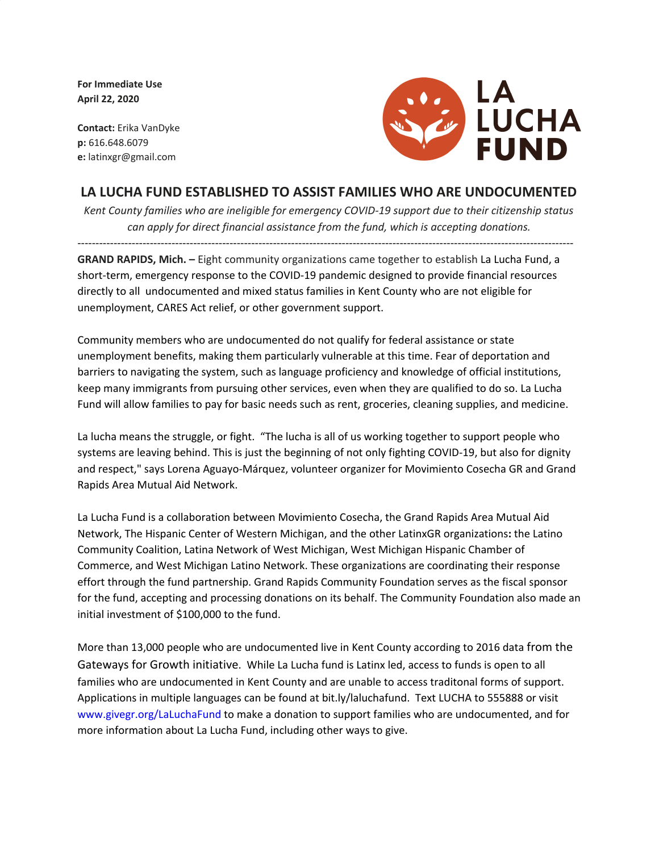**For Immediate Use April 22, 2020**

**Contact:** Erika VanDyke **p:** 616.648.6079 **e:** latinxgr@gmail.com



## **LA LUCHA FUND ESTABLISHED TO ASSIST FAMILIES WHO ARE UNDOCUMENTED**

*Kent County families who are ineligible for emergency COVID-19 support due to their citizenship status can apply for direct financial assistance from the fund, which is accepting donations.*

-----------------------------------------------------------------------------------------------------------------------------------------

**GRAND RAPIDS, Mich. –** Eight community organizations came together to establish La Lucha Fund, a short-term, emergency response to the COVID-19 pandemic designed to provide financial resources directly to all undocumented and mixed status families in Kent County who are not eligible for unemployment, CARES Act relief, or other government support.

Community members who are undocumented do not qualify for federal assistance or state unemployment benefits, making them particularly vulnerable at this time. Fear of deportation and barriers to navigating the system, such as language proficiency and knowledge of official institutions, keep many immigrants from pursuing other services, even when they are qualified to do so. La Lucha Fund will allow families to pay for basic needs such as rent, groceries, cleaning supplies, and medicine.

La lucha means the struggle, or fight. "The lucha is all of us working together to support people who systems are leaving behind. This is just the beginning of not only fighting COVID-19, but also for dignity and respect," says Lorena Aguayo-Márquez, volunteer organizer for Movimiento Cosecha GR and Grand Rapids Area Mutual Aid Network.

La Lucha Fund is a collaboration between [Movimiento](http://www.lahuelga.com/) Cosecha, the Grand Rapids Area [Mutual](http://www.facebook.com/GRAMutAid/) Aid [Network,](http://www.facebook.com/GRAMutAid/) The Hispanic Center of Western [Michigan,](http://hispanic-center.org/) and the other LatinxGR organizations**:** the Latino Community Coalition, Latina Network of West Michigan, West Michigan Hispanic Chamber of Commerce, and West Michigan Latino Network. These organizations are coordinating their response effort through the fund partnership. Grand Rapids Community Foundation serves as the fiscal sponsor for the fund, accepting and processing donations on its behalf. The Community Foundation also made an initial investment of \$100,000 to the fund.

More than 13,000 people who are undocumented live in Kent County according to 2016 data from the Gateways for Growth initiative. While La Lucha fund is Latinx led, access to funds is open to all families who are undocumented in Kent County and are unable to access traditonal forms of support. Applications in multiple languages can be found at bit.ly/laluchafund. Text LUCHA to 555888 or visit [www.givegr.org/LaLuchaFund](https://l.facebook.com/l.php?u=https%3A%2F%2Fwww.givegr.org%2FLaLuchaFund%3Ffbclid%3DIwAR1dsd5do5spPX0Ox4HiIyw0Gv_54HsC2XWL94Nnxtxf7sfqQpXvKBObUJ0&h=AT1ktLbsRRo5Wp3DyJbdaLwwGzgveZ0x2Pcvu1IRNx6UBkaAuN4GZAr6WxWN-jcZEnaaMUVrMRRuU_7qC0A5FAgwvvebyFZbcNrw5iZyOEdeTZsyLp6LgYex2arnubAPSJw3hzml6tAXx0ob6HQ) to make a donation to support families who are undocumented, and for more information about La Lucha Fund, including other ways to give.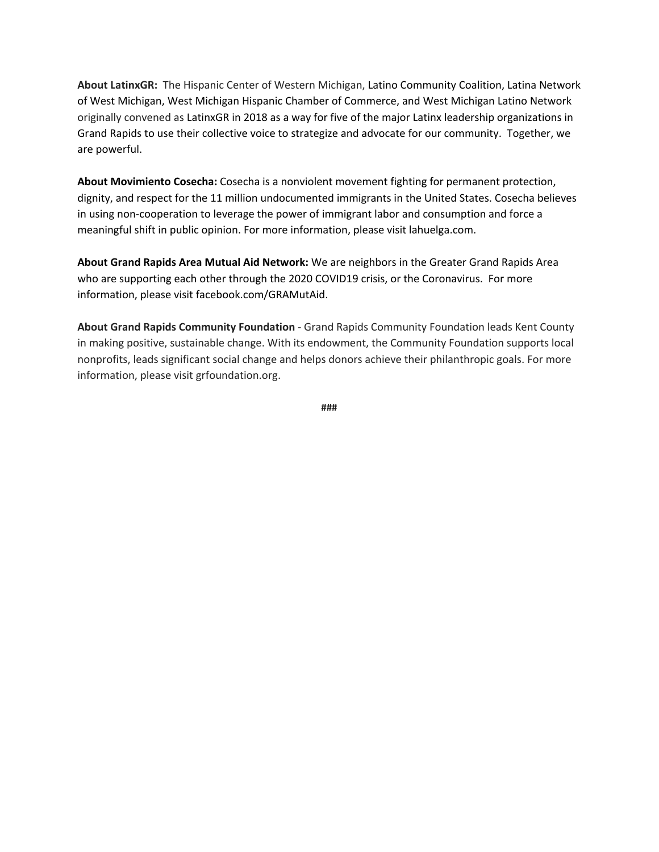**About LatinxGR:** The Hispanic Center of Western Michigan, Latino Community Coalition, Latina Network of West Michigan, West Michigan Hispanic Chamber of Commerce, and West Michigan Latino Network originally convened as LatinxGR in 2018 as a way for five of the major Latinx leadership organizations in Grand Rapids to use their collective voice to strategize and advocate for our community. Together, we are powerful.

**About Movimiento Cosecha:** Cosecha is a nonviolent movement fighting for permanent protection, dignity, and respect for the 11 million undocumented immigrants in the United States. Cosecha believes in using non-cooperation to leverage the power of immigrant labor and consumption and force a meaningful shift in public opinion. For more information, please visit lahuelga.com.

**About Grand Rapids Area Mutual Aid Network:** We are neighbors in the Greater Grand Rapids Area who are supporting each other through the 2020 COVID19 crisis, or the Coronavirus. For more information, please visit facebook.com/GRAMutAid.

**About Grand Rapids Community Foundation** - Grand Rapids Community Foundation leads Kent County in making positive, sustainable change. With its endowment, the Community Foundation supports local nonprofits, leads significant social change and helps donors achieve their philanthropic goals. For more information, please visit grfoundation.org.

**###**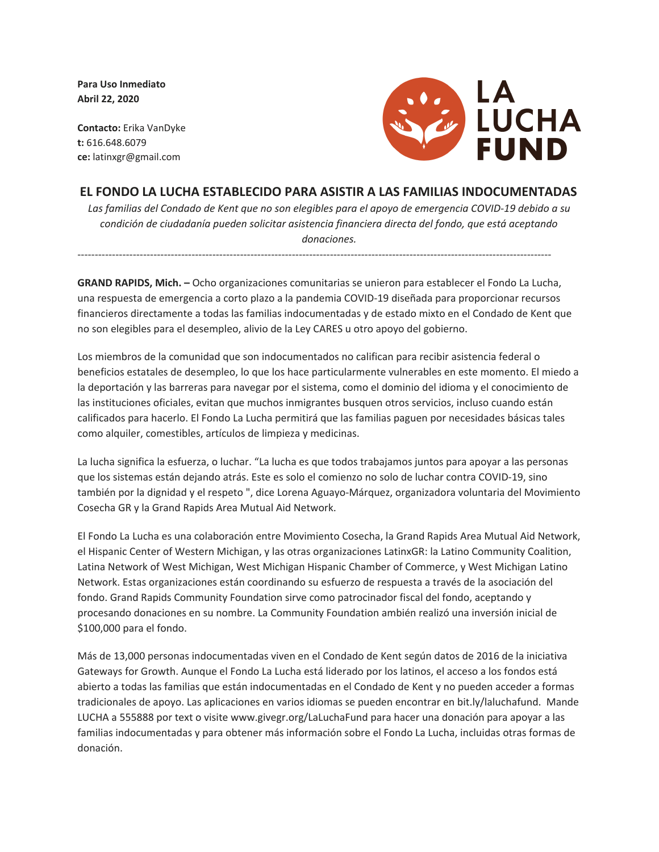**Para Uso Inmediato Abril 22, 2020**

**Contacto:** Erika VanDyke **t:** 616.648.6079 **ce:** latinxgr@gmail.com



## **EL FONDO LA LUCHA ESTABLECIDO PARA ASISTIR A LAS FAMILIAS INDOCUMENTADAS**

*Las familias del Condado de Kent que no son elegibles para el apoyo de emergencia COVID-19 debido a su condición de ciudadanía pueden solicitar asistencia financiera directa del fondo, que está aceptando donaciones.*

**GRAND RAPIDS, Mich. –** Ocho organizaciones comunitarias se unieron para establecer el Fondo La Lucha, una respuesta de emergencia a corto plazo a la pandemia COVID-19 diseñada para proporcionar recursos financieros directamente a todas las familias indocumentadas y de estado mixto en el Condado de Kent que no son elegibles para el desempleo, alivio de la Ley CARES u otro apoyo del gobierno.

-----------------------------------------------------------------------------------------------------------------------------------------

Los miembros de la comunidad que son indocumentados no califican para recibir asistencia federal o beneficios estatales de desempleo, lo que los hace particularmente vulnerables en este momento. El miedo a la deportación y las barreras para navegar por el sistema, como el dominio del idioma y el conocimiento de las instituciones oficiales, evitan que muchos inmigrantes busquen otros servicios, incluso cuando están calificados para hacerlo. El Fondo La Lucha permitirá que las familias paguen por necesidades básicas tales como alquiler, comestibles, artículos de limpieza y medicinas.

La lucha significa la esfuerza, o luchar. "La lucha es que todos trabajamos juntos para apoyar a las personas que los sistemas están dejando atrás. Este es solo el comienzo no solo de luchar contra COVID-19, sino también por la dignidad y el respeto ", dice Lorena Aguayo-Márquez, organizadora voluntaria del Movimiento Cosecha GR y la Grand Rapids Area Mutual Aid Network.

El Fondo La Lucha es una colaboración entre Movimiento Cosecha, la Grand Rapids Area Mutual Aid Network, el Hispanic Center of Western Michigan, y las otras organizaciones LatinxGR: la Latino Community Coalition, Latina Network of West Michigan, West Michigan Hispanic Chamber of Commerce, y West Michigan Latino Network. Estas organizaciones están coordinando su esfuerzo de respuesta a través de la asociación del fondo. Grand Rapids Community Foundation sirve como patrocinador fiscal del fondo, aceptando y procesando donaciones en su nombre. La Community Foundation ambién realizó una inversión inicial de \$100,000 para el fondo.

Más de 13,000 personas indocumentadas viven en el Condado de Kent según datos de 2016 de la iniciativa Gateways for Growth. Aunque el Fondo La Lucha está liderado por los latinos, el acceso a los fondos está abierto a todas las familias que están indocumentadas en el Condado de Kent y no pueden acceder a formas tradicionales de apoyo. Las aplicaciones en varios idiomas se pueden encontrar en bit.ly/laluchafund. Mande LUCHA a 555888 por text o visite www.givegr.org/LaLuchaFund para hacer una donación para apoyar a las familias indocumentadas y para obtener más información sobre el Fondo La Lucha, incluidas otras formas de donación.